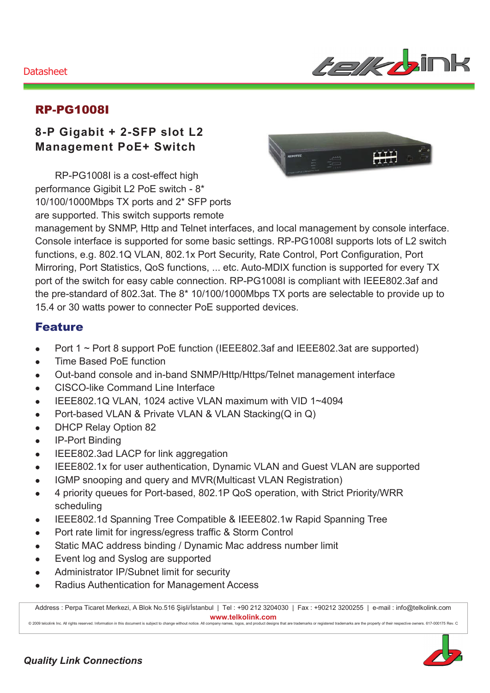#### Datasheet



### RP-PG1008I

## **8-P Gigabit + 2-SFP slot L2 Management PoE+ Switch**

RP-PG1008I is a cost-effect high performance Gigibit L2 PoE switch - 8\* 10/100/1000Mbps TX ports and 2\* SFP ports are supported. This switch supports remote



management by SNMP, Http and Telnet interfaces, and local management by console interface. Console interface is supported for some basic settings. RP-PG1008I supports lots of L2 switch functions, e.g. 802.1Q VLAN, 802.1x Port Security, Rate Control, Port Configuration, Port Mirroring, Port Statistics, QoS functions, ... etc. Auto-MDIX function is supported for every TX port of the switch for easy cable connection. RP-PG1008I is compliant with IEEE802.3af and the pre-standard of 802.3at. The 8\* 10/100/1000Mbps TX ports are selectable to provide up to 15.4 or 30 watts power to connecter PoE supported devices.

#### Feature

- Port 1 ~ Port 8 support PoE function (IEEE802.3af and IEEE802.3at are supported)
- Time Based PoE function
- Out-band console and in-band SNMP/Http/Https/Telnet management interface
- CISCO-like Command Line Interface
- $\bullet$  IEEE802.1Q VLAN, 1024 active VLAN maximum with VID 1~4094
- Port-based VLAN & Private VLAN & VLAN Stacking(Q in Q)
- DHCP Relay Option 82
- IP-Port Binding
- IEEE802.3ad LACP for link aggregation
- IEEE802.1x for user authentication, Dynamic VLAN and Guest VLAN are supported
- IGMP snooping and query and MVR(Multicast VLAN Registration)
- 4 priority queues for Port-based, 802.1P QoS operation, with Strict Priority/WRR scheduling
- IEEE802.1d Spanning Tree Compatible & IEEE802.1w Rapid Spanning Tree
- Port rate limit for ingress/egress traffic & Storm Control
- Static MAC address binding / Dynamic Mac address number limit
- Event log and Syslog are supported
- Administrator IP/Subnet limit for security
- Radius Authentication for Management Access

Address : Perpa Ticaret Merkezi, A Blok No.516 Şişli/İstanbul | Tel : +90 212 3204030 | Fax : +90212 3200255 | e-mail : info@telkolink.com  $www.telkolink.com$ © 2009 te Icolink Inc. All rights re se rve d. Information in this docume nt is subje ct to change without notice . All company names, logos, and product designs that are trade emarks or re :giste ŗ€ ed trade marks are : the : prope rty of the eir re spe: etive: owne rs. 617-000175 Re ev. C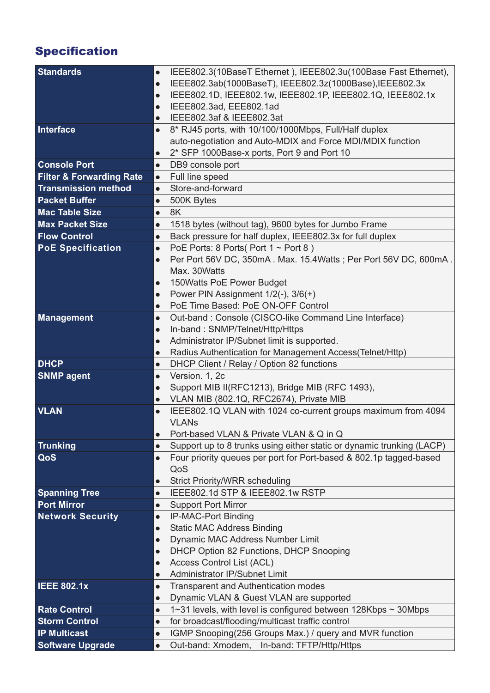# Specification

| <b>Standards</b>                               | $\bullet$ | IEEE802.3(10BaseT Ethernet), IEEE802.3u(100Base Fast Ethernet),                                       |
|------------------------------------------------|-----------|-------------------------------------------------------------------------------------------------------|
|                                                | $\bullet$ | IEEE802.3ab(1000BaseT), IEEE802.3z(1000Base), IEEE802.3x                                              |
|                                                | $\bullet$ | IEEE802.1D, IEEE802.1w, IEEE802.1P, IEEE802.1Q, IEEE802.1x                                            |
|                                                | $\bullet$ | IEEE802.3ad, EEE802.1ad                                                                               |
|                                                | $\bullet$ | IEEE802.3af & IEEE802.3at                                                                             |
| Interface                                      | $\bullet$ | 8* RJ45 ports, with 10/100/1000Mbps, Full/Half duplex                                                 |
|                                                |           | auto-negotiation and Auto-MDIX and Force MDI/MDIX function                                            |
|                                                | $\bullet$ | 2* SFP 1000Base-x ports, Port 9 and Port 10                                                           |
| <b>Console Port</b>                            | $\bullet$ | DB9 console port                                                                                      |
| <b>Filter &amp; Forwarding Rate</b>            | $\bullet$ | Full line speed                                                                                       |
| <b>Transmission method</b>                     | $\bullet$ | Store-and-forward                                                                                     |
| <b>Packet Buffer</b>                           | $\bullet$ | 500K Bytes                                                                                            |
| <b>Mac Table Size</b>                          | $\bullet$ | 8K                                                                                                    |
| <b>Max Packet Size</b>                         | $\bullet$ | 1518 bytes (without tag), 9600 bytes for Jumbo Frame                                                  |
| <b>Flow Control</b>                            | $\bullet$ | Back pressure for half duplex, IEEE802.3x for full duplex                                             |
| <b>PoE Specification</b>                       | $\bullet$ | PoE Ports: 8 Ports (Port $1 \sim$ Port 8)                                                             |
|                                                | $\bullet$ | Per Port 56V DC, 350mA. Max. 15.4Watts; Per Port 56V DC, 600mA.                                       |
|                                                |           | Max. 30Watts                                                                                          |
|                                                | $\bullet$ | 150 Watts PoE Power Budget                                                                            |
|                                                | $\bullet$ | Power PIN Assignment 1/2(-), 3/6(+)                                                                   |
|                                                | $\bullet$ | PoE Time Based: PoE ON-OFF Control                                                                    |
| <b>Management</b>                              | $\bullet$ | Out-band: Console (CISCO-like Command Line Interface)                                                 |
|                                                | $\bullet$ | In-band: SNMP/Telnet/Http/Https                                                                       |
|                                                | $\bullet$ | Administrator IP/Subnet limit is supported.                                                           |
|                                                | $\bullet$ | Radius Authentication for Management Access (Telnet/Http)                                             |
| <b>DHCP</b>                                    | $\bullet$ | DHCP Client / Relay / Option 82 functions                                                             |
| <b>SNMP agent</b>                              | $\bullet$ | Version. 1, 2c<br>Support MIB II(RFC1213), Bridge MIB (RFC 1493),                                     |
|                                                |           |                                                                                                       |
|                                                | $\bullet$ |                                                                                                       |
|                                                | $\bullet$ | VLAN MIB (802.1Q, RFC2674), Private MIB                                                               |
| <b>VLAN</b>                                    | $\bullet$ | IEEE802.1Q VLAN with 1024 co-current groups maximum from 4094                                         |
|                                                |           | <b>VLAN<sub>s</sub></b>                                                                               |
|                                                |           | Port-based VLAN & Private VLAN & Q in Q                                                               |
| <b>Trunking</b>                                | $\bullet$ | Support up to 8 trunks using either static or dynamic trunking (LACP)                                 |
| QoS                                            | $\bullet$ | Four priority queues per port for Port-based & 802.1p tagged-based                                    |
|                                                | $\bullet$ | QoS                                                                                                   |
|                                                | $\bullet$ | <b>Strict Priority/WRR scheduling</b>                                                                 |
| <b>Spanning Tree</b><br><b>Port Mirror</b>     | $\bullet$ | IEEE802.1d STP & IEEE802.1w RSTP<br><b>Support Port Mirror</b>                                        |
| <b>Network Security</b>                        | $\bullet$ | IP-MAC-Port Binding                                                                                   |
|                                                | $\bullet$ | <b>Static MAC Address Binding</b>                                                                     |
|                                                | $\bullet$ | Dynamic MAC Address Number Limit                                                                      |
|                                                | $\bullet$ | DHCP Option 82 Functions, DHCP Snooping                                                               |
|                                                | $\bullet$ | <b>Access Control List (ACL)</b>                                                                      |
|                                                | $\bullet$ | Administrator IP/Subnet Limit                                                                         |
| <b>IEEE 802.1x</b>                             | $\bullet$ | <b>Transparent and Authentication modes</b>                                                           |
|                                                | $\bullet$ | Dynamic VLAN & Guest VLAN are supported                                                               |
| <b>Rate Control</b>                            | $\bullet$ | 1~31 levels, with level is configured between 128Kbps ~ 30Mbps                                        |
| <b>Storm Control</b>                           | $\bullet$ | for broadcast/flooding/multicast traffic control                                                      |
| <b>IP Multicast</b><br><b>Software Upgrade</b> | $\bullet$ | IGMP Snooping(256 Groups Max.) / query and MVR function<br>Out-band: Xmodem, In-band: TFTP/Http/Https |